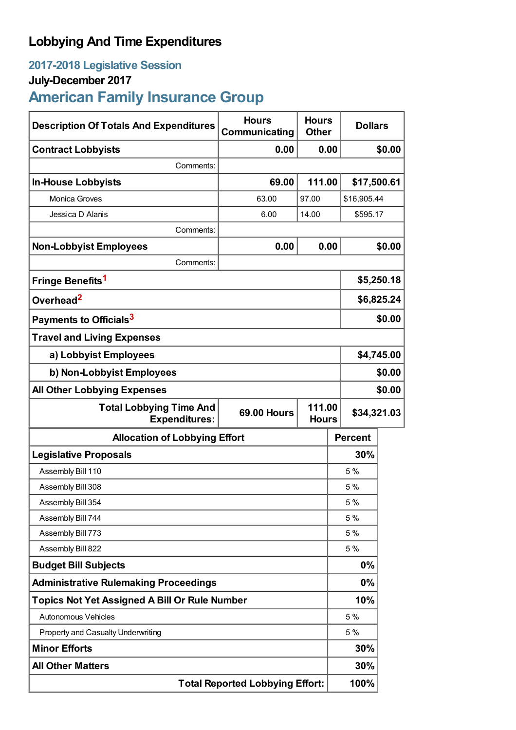## **Lobbying And Time Expenditures**

## **2017-2018 Legislative Session**

### **July-December 2017**

# **American Family Insurance Group**

| <b>Description Of Totals And Expenditures</b>                                                          | <b>Hours</b><br>Communicating          | <b>Hours</b><br><b>Other</b> | <b>Dollars</b> |        |
|--------------------------------------------------------------------------------------------------------|----------------------------------------|------------------------------|----------------|--------|
| <b>Contract Lobbyists</b>                                                                              | 0.00                                   | 0.00                         |                | \$0.00 |
| Comments:                                                                                              |                                        |                              |                |        |
| <b>In-House Lobbyists</b>                                                                              | 69.00                                  | 111.00                       | \$17,500.61    |        |
| <b>Monica Groves</b>                                                                                   | 63.00                                  | 97.00                        | \$16,905.44    |        |
| Jessica D Alanis                                                                                       | 6.00                                   | 14.00<br>\$595.17            |                |        |
| Comments:                                                                                              |                                        |                              |                |        |
| <b>Non-Lobbyist Employees</b>                                                                          | 0.00                                   | 0.00                         | \$0.00         |        |
| Comments:                                                                                              |                                        |                              |                |        |
| Fringe Benefits <sup>1</sup>                                                                           |                                        |                              | \$5,250.18     |        |
| Overhead <sup>2</sup>                                                                                  |                                        |                              | \$6,825.24     |        |
| Payments to Officials <sup>3</sup>                                                                     |                                        |                              | \$0.00         |        |
| <b>Travel and Living Expenses</b>                                                                      |                                        |                              |                |        |
| a) Lobbyist Employees                                                                                  |                                        |                              | \$4,745.00     |        |
| b) Non-Lobbyist Employees                                                                              |                                        |                              | \$0.00         |        |
| <b>All Other Lobbying Expenses</b>                                                                     |                                        |                              | \$0.00         |        |
| 111.00<br><b>Total Lobbying Time And</b><br><b>69.00 Hours</b><br><b>Expenditures:</b><br><b>Hours</b> |                                        |                              | \$34,321.03    |        |
| <b>Allocation of Lobbying Effort</b>                                                                   |                                        |                              | <b>Percent</b> |        |
| <b>Legislative Proposals</b>                                                                           |                                        |                              | 30%            |        |
| Assembly Bill 110                                                                                      |                                        |                              | 5 %            |        |
| Assembly Bill 308                                                                                      |                                        |                              | 5 %            |        |
| Assembly Bill 354                                                                                      |                                        |                              | 5 %            |        |
| Assembly Bill 744                                                                                      |                                        |                              | 5 %            |        |
| Assembly Bill 773                                                                                      |                                        |                              | 5 %            |        |
| Assembly Bill 822                                                                                      |                                        |                              | 5 %            |        |
| <b>Budget Bill Subjects</b>                                                                            |                                        |                              | 0%             |        |
| <b>Administrative Rulemaking Proceedings</b>                                                           |                                        |                              | 0%             |        |
| <b>Topics Not Yet Assigned A Bill Or Rule Number</b>                                                   |                                        |                              | 10%            |        |
| Autonomous Vehicles                                                                                    |                                        |                              | 5 %            |        |
| Property and Casualty Underwriting                                                                     |                                        |                              | 5 %            |        |
| <b>Minor Efforts</b>                                                                                   |                                        |                              | 30%            |        |
| <b>All Other Matters</b>                                                                               |                                        |                              | 30%            |        |
|                                                                                                        | <b>Total Reported Lobbying Effort:</b> |                              |                |        |